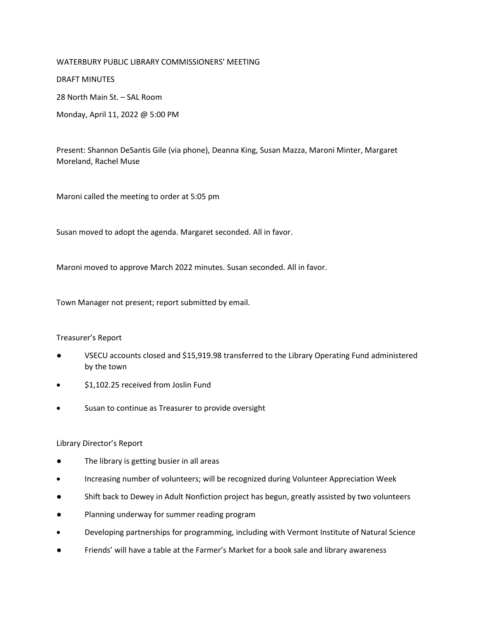## WATERBURY PUBLIC LIBRARY COMMISSIONERS' MEETING

DRAFT MINUTES 28 North Main St. – SAL Room

Monday, April 11, 2022 @ 5:00 PM

Present: Shannon DeSantis Gile (via phone), Deanna King, Susan Mazza, Maroni Minter, Margaret Moreland, Rachel Muse

Maroni called the meeting to order at 5:05 pm

Susan moved to adopt the agenda. Margaret seconded. All in favor.

Maroni moved to approve March 2022 minutes. Susan seconded. All in favor.

Town Manager not present; report submitted by email.

## Treasurer's Report

- VSECU accounts closed and \$15,919.98 transferred to the Library Operating Fund administered by the town
- \$1,102.25 received from Joslin Fund
- Susan to continue as Treasurer to provide oversight

## Library Director's Report

- The library is getting busier in all areas
- Increasing number of volunteers; will be recognized during Volunteer Appreciation Week
- Shift back to Dewey in Adult Nonfiction project has begun, greatly assisted by two volunteers
- Planning underway for summer reading program
- Developing partnerships for programming, including with Vermont Institute of Natural Science
- Friends' will have a table at the Farmer's Market for a book sale and library awareness